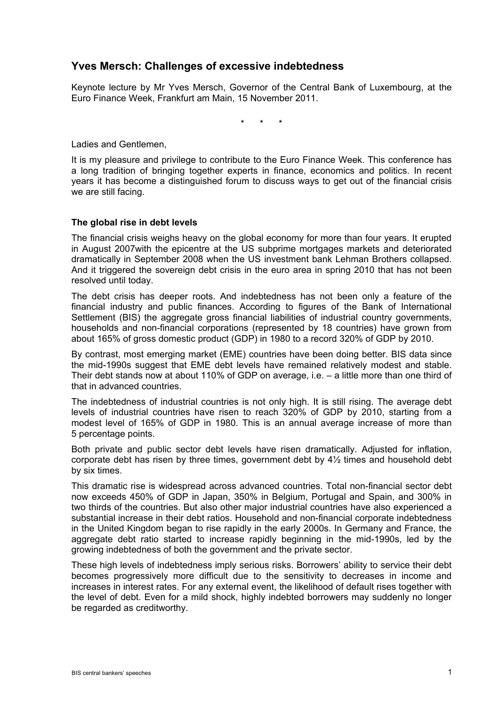# **Yves Mersch: Challenges of excessive indebtedness**

Keynote lecture by Mr Yves Mersch, Governor of the Central Bank of Luxembourg, at the Euro Finance Week, Frankfurt am Main, 15 November 2011.

\* \* \*

Ladies and Gentlemen,

It is my pleasure and privilege to contribute to the Euro Finance Week. This conference has a long tradition of bringing together experts in finance, economics and politics. In recent years it has become a distinguished forum to discuss ways to get out of the financial crisis we are still facing.

## **The global rise in debt levels**

The financial crisis weighs heavy on the global economy for more than four years. It erupted in August 2007with the epicentre at the US subprime mortgages markets and deteriorated dramatically in September 2008 when the US investment bank Lehman Brothers collapsed. And it triggered the sovereign debt crisis in the euro area in spring 2010 that has not been resolved until today.

The debt crisis has deeper roots. And indebtedness has not been only a feature of the financial industry and public finances. According to figures of the Bank of International Settlement (BIS) the aggregate gross financial liabilities of industrial country governments, households and non-financial corporations (represented by 18 countries) have grown from about 165% of gross domestic product (GDP) in 1980 to a record 320% of GDP by 2010.

By contrast, most emerging market (EME) countries have been doing better. BIS data since the mid-1990s suggest that EME debt levels have remained relatively modest and stable. Their debt stands now at about 110% of GDP on average, i.e. – a little more than one third of that in advanced countries.

The indebtedness of industrial countries is not only high. It is still rising. The average debt levels of industrial countries have risen to reach 320% of GDP by 2010, starting from a modest level of 165% of GDP in 1980. This is an annual average increase of more than 5 percentage points.

Both private and public sector debt levels have risen dramatically. Adjusted for inflation, corporate debt has risen by three times, government debt by 4½ times and household debt by six times.

This dramatic rise is widespread across advanced countries. Total non-financial sector debt now exceeds 450% of GDP in Japan, 350% in Belgium, Portugal and Spain, and 300% in two thirds of the countries. But also other major industrial countries have also experienced a substantial increase in their debt ratios. Household and non-financial corporate indebtedness in the United Kingdom began to rise rapidly in the early 2000s. In Germany and France, the aggregate debt ratio started to increase rapidly beginning in the mid-1990s, led by the growing indebtedness of both the government and the private sector.

These high levels of indebtedness imply serious risks. Borrowers' ability to service their debt becomes progressively more difficult due to the sensitivity to decreases in income and increases in interest rates. For any external event, the likelihood of default rises together with the level of debt. Even for a mild shock, highly indebted borrowers may suddenly no longer be regarded as creditworthy.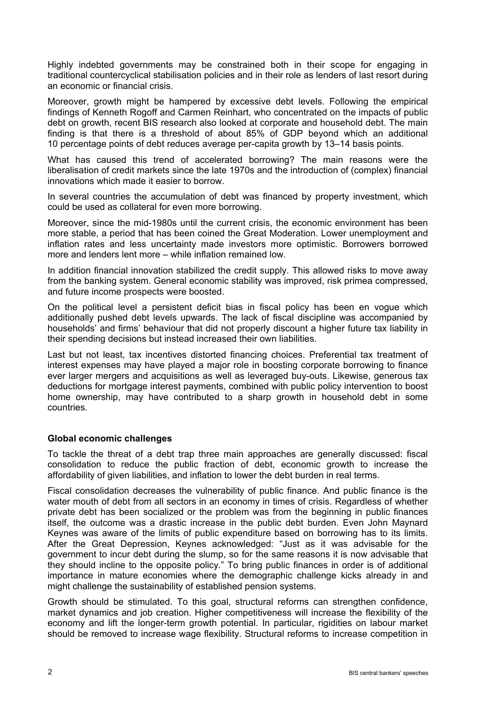Highly indebted governments may be constrained both in their scope for engaging in traditional countercyclical stabilisation policies and in their role as lenders of last resort during an economic or financial crisis.

Moreover, growth might be hampered by excessive debt levels. Following the empirical findings of Kenneth Rogoff and Carmen Reinhart, who concentrated on the impacts of public debt on growth, recent BIS research also looked at corporate and household debt. The main finding is that there is a threshold of about 85% of GDP beyond which an additional 10 percentage points of debt reduces average per-capita growth by 13–14 basis points.

What has caused this trend of accelerated borrowing? The main reasons were the liberalisation of credit markets since the late 1970s and the introduction of (complex) financial innovations which made it easier to borrow.

In several countries the accumulation of debt was financed by property investment, which could be used as collateral for even more borrowing.

Moreover, since the mid-1980s until the current crisis, the economic environment has been more stable, a period that has been coined the Great Moderation. Lower unemployment and inflation rates and less uncertainty made investors more optimistic. Borrowers borrowed more and lenders lent more – while inflation remained low.

In addition financial innovation stabilized the credit supply. This allowed risks to move away from the banking system. General economic stability was improved, risk primea compressed, and future income prospects were boosted.

On the political level a persistent deficit bias in fiscal policy has been en vogue which additionally pushed debt levels upwards. The lack of fiscal discipline was accompanied by households' and firms' behaviour that did not properly discount a higher future tax liability in their spending decisions but instead increased their own liabilities.

Last but not least, tax incentives distorted financing choices. Preferential tax treatment of interest expenses may have played a major role in boosting corporate borrowing to finance ever larger mergers and acquisitions as well as leveraged buy-outs. Likewise, generous tax deductions for mortgage interest payments, combined with public policy intervention to boost home ownership, may have contributed to a sharp growth in household debt in some countries.

# **Global economic challenges**

To tackle the threat of a debt trap three main approaches are generally discussed: fiscal consolidation to reduce the public fraction of debt, economic growth to increase the affordability of given liabilities, and inflation to lower the debt burden in real terms.

Fiscal consolidation decreases the vulnerability of public finance. And public finance is the water mouth of debt from all sectors in an economy in times of crisis. Regardless of whether private debt has been socialized or the problem was from the beginning in public finances itself, the outcome was a drastic increase in the public debt burden. Even John Maynard Keynes was aware of the limits of public expenditure based on borrowing has to its limits. After the Great Depression, Keynes acknowledged: "Just as it was advisable for the government to incur debt during the slump, so for the same reasons it is now advisable that they should incline to the opposite policy." To bring public finances in order is of additional importance in mature economies where the demographic challenge kicks already in and might challenge the sustainability of established pension systems.

Growth should be stimulated. To this goal, structural reforms can strengthen confidence, market dynamics and job creation. Higher competitiveness will increase the flexibility of the economy and lift the longer-term growth potential. In particular, rigidities on labour market should be removed to increase wage flexibility. Structural reforms to increase competition in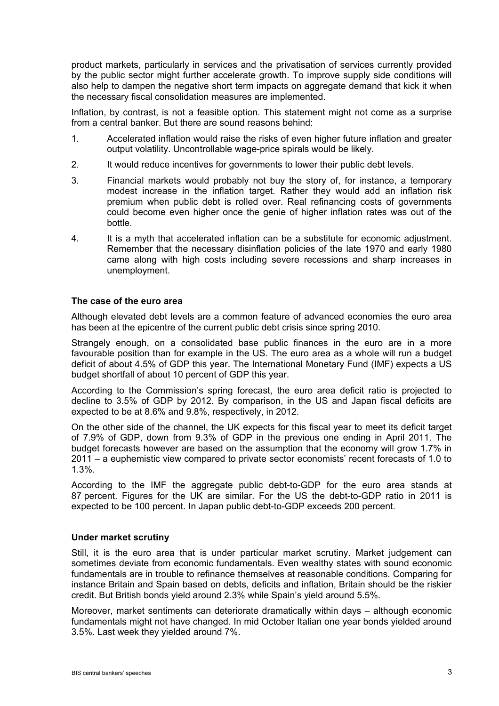product markets, particularly in services and the privatisation of services currently provided by the public sector might further accelerate growth. To improve supply side conditions will also help to dampen the negative short term impacts on aggregate demand that kick it when the necessary fiscal consolidation measures are implemented.

Inflation, by contrast, is not a feasible option. This statement might not come as a surprise from a central banker. But there are sound reasons behind:

- 1. Accelerated inflation would raise the risks of even higher future inflation and greater output volatility. Uncontrollable wage-price spirals would be likely.
- 2. It would reduce incentives for governments to lower their public debt levels.
- 3. Financial markets would probably not buy the story of, for instance, a temporary modest increase in the inflation target. Rather they would add an inflation risk premium when public debt is rolled over. Real refinancing costs of governments could become even higher once the genie of higher inflation rates was out of the bottle.
- 4. It is a myth that accelerated inflation can be a substitute for economic adjustment. Remember that the necessary disinflation policies of the late 1970 and early 1980 came along with high costs including severe recessions and sharp increases in unemployment.

#### **The case of the euro area**

Although elevated debt levels are a common feature of advanced economies the euro area has been at the epicentre of the current public debt crisis since spring 2010.

Strangely enough, on a consolidated base public finances in the euro are in a more favourable position than for example in the US. The euro area as a whole will run a budget deficit of about 4.5% of GDP this year. The International Monetary Fund (IMF) expects a US budget shortfall of about 10 percent of GDP this year.

According to the Commission's spring forecast, the euro area deficit ratio is projected to decline to 3.5% of GDP by 2012. By comparison, in the US and Japan fiscal deficits are expected to be at 8.6% and 9.8%, respectively, in 2012.

On the other side of the channel, the UK expects for this fiscal year to meet its deficit target of 7.9% of GDP, down from 9.3% of GDP in the previous one ending in April 2011. The budget forecasts however are based on the assumption that the economy will grow 1.7% in 2011 – a euphemistic view compared to private sector economists' recent forecasts of 1.0 to 1.3%.

According to the IMF the aggregate public debt-to-GDP for the euro area stands at 87 percent. Figures for the UK are similar. For the US the debt-to-GDP ratio in 2011 is expected to be 100 percent. In Japan public debt-to-GDP exceeds 200 percent.

#### **Under market scrutiny**

Still, it is the euro area that is under particular market scrutiny. Market judgement can sometimes deviate from economic fundamentals. Even wealthy states with sound economic fundamentals are in trouble to refinance themselves at reasonable conditions. Comparing for instance Britain and Spain based on debts, deficits and inflation, Britain should be the riskier credit. But British bonds yield around 2.3% while Spain's yield around 5.5%.

Moreover, market sentiments can deteriorate dramatically within days – although economic fundamentals might not have changed. In mid October Italian one year bonds yielded around 3.5%. Last week they yielded around 7%.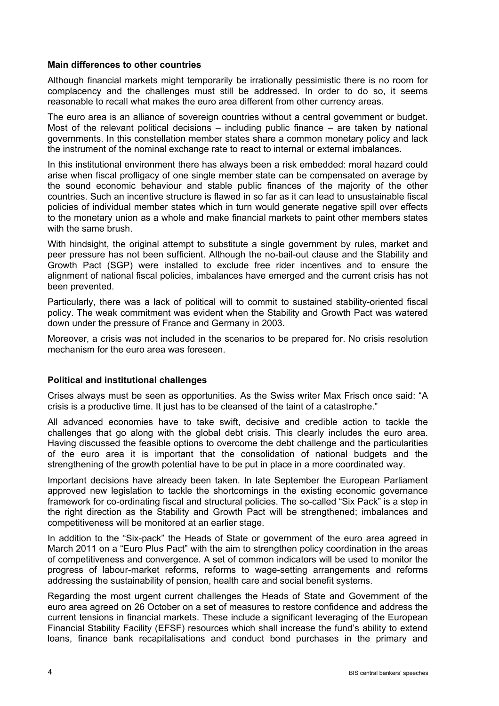## **Main differences to other countries**

Although financial markets might temporarily be irrationally pessimistic there is no room for complacency and the challenges must still be addressed. In order to do so, it seems reasonable to recall what makes the euro area different from other currency areas.

The euro area is an alliance of sovereign countries without a central government or budget. Most of the relevant political decisions – including public finance – are taken by national governments. In this constellation member states share a common monetary policy and lack the instrument of the nominal exchange rate to react to internal or external imbalances.

In this institutional environment there has always been a risk embedded: moral hazard could arise when fiscal profligacy of one single member state can be compensated on average by the sound economic behaviour and stable public finances of the majority of the other countries. Such an incentive structure is flawed in so far as it can lead to unsustainable fiscal policies of individual member states which in turn would generate negative spill over effects to the monetary union as a whole and make financial markets to paint other members states with the same brush.

With hindsight, the original attempt to substitute a single government by rules, market and peer pressure has not been sufficient. Although the no-bail-out clause and the Stability and Growth Pact (SGP) were installed to exclude free rider incentives and to ensure the alignment of national fiscal policies, imbalances have emerged and the current crisis has not been prevented.

Particularly, there was a lack of political will to commit to sustained stability-oriented fiscal policy. The weak commitment was evident when the Stability and Growth Pact was watered down under the pressure of France and Germany in 2003.

Moreover, a crisis was not included in the scenarios to be prepared for. No crisis resolution mechanism for the euro area was foreseen.

#### **Political and institutional challenges**

Crises always must be seen as opportunities. As the Swiss writer Max Frisch once said: "A crisis is a productive time. It just has to be cleansed of the taint of a catastrophe."

All advanced economies have to take swift, decisive and credible action to tackle the challenges that go along with the global debt crisis. This clearly includes the euro area. Having discussed the feasible options to overcome the debt challenge and the particularities of the euro area it is important that the consolidation of national budgets and the strengthening of the growth potential have to be put in place in a more coordinated way.

Important decisions have already been taken. In late September the European Parliament approved new legislation to tackle the shortcomings in the existing economic governance framework for co-ordinating fiscal and structural policies. The so-called "Six Pack" is a step in the right direction as the Stability and Growth Pact will be strengthened; imbalances and competitiveness will be monitored at an earlier stage.

In addition to the "Six-pack" the Heads of State or government of the euro area agreed in March 2011 on a "Euro Plus Pact" with the aim to strengthen policy coordination in the areas of competitiveness and convergence. A set of common indicators will be used to monitor the progress of labour-market reforms, reforms to wage-setting arrangements and reforms addressing the sustainability of pension, health care and social benefit systems.

Regarding the most urgent current challenges the Heads of State and Government of the euro area agreed on 26 October on a set of measures to restore confidence and address the current tensions in financial markets. These include a significant leveraging of the European Financial Stability Facility (EFSF) resources which shall increase the fund's ability to extend loans, finance bank recapitalisations and conduct bond purchases in the primary and